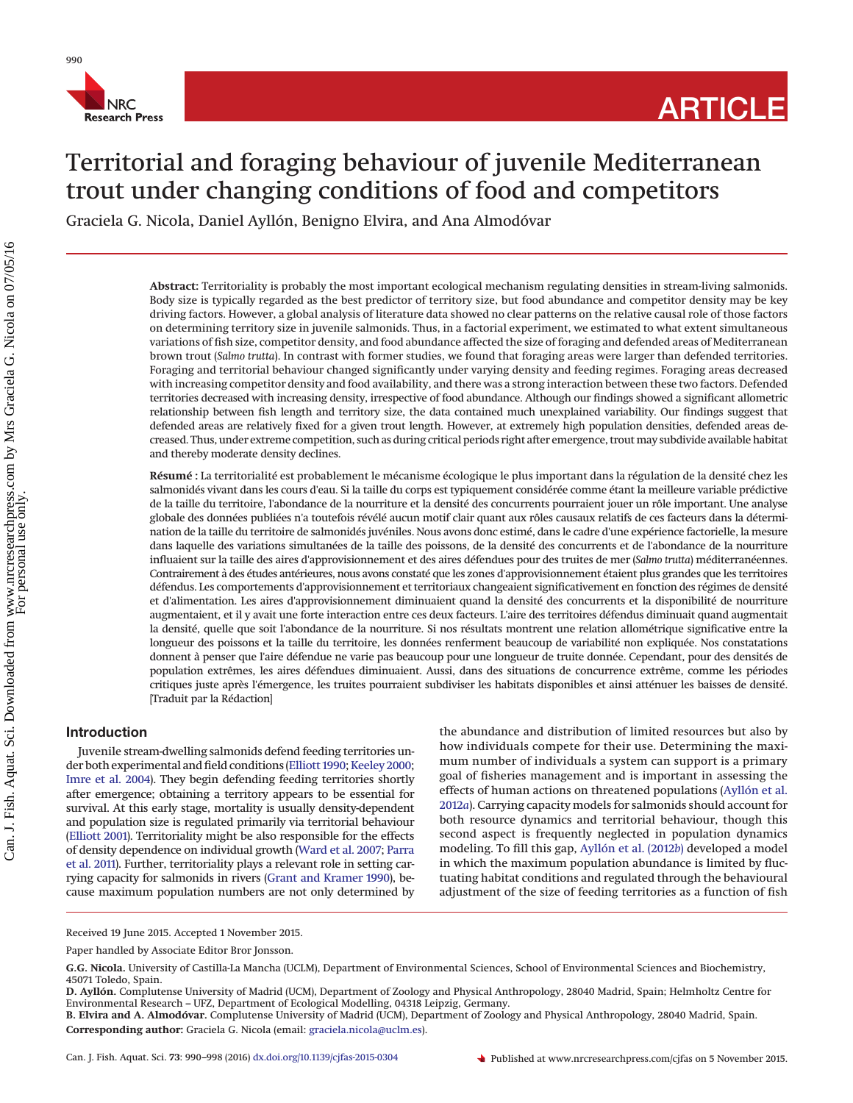

# Territorial and foraging behaviour of juvenile Mediterranean trout under changing conditions of food and competitors

Graciela G. Nicola, Daniel Ayllón, Benigno Elvira, and Ana Almodóvar

**Abstract:** Territoriality is probably the most important ecological mechanism regulating densities in stream-living salmonids. Body size is typically regarded as the best predictor of territory size, but food abundance and competitor density may be key driving factors. However, a global analysis of literature data showed no clear patterns on the relative causal role of those factors on determining territory size in juvenile salmonids. Thus, in a factorial experiment, we estimated to what extent simultaneous variations of fish size, competitor density, and food abundance affected the size of foraging and defended areas of Mediterranean brown trout (*Salmo trutta*). In contrast with former studies, we found that foraging areas were larger than defended territories. Foraging and territorial behaviour changed significantly under varying density and feeding regimes. Foraging areas decreased with increasing competitor density and food availability, and there was a strong interaction between these two factors. Defended territories decreased with increasing density, irrespective of food abundance. Although our findings showed a significant allometric relationship between fish length and territory size, the data contained much unexplained variability. Our findings suggest that defended areas are relatively fixed for a given trout length. However, at extremely high population densities, defended areas decreased. Thus, under extreme competition, such as during critical periods right after emergence, troutmay subdivide available habitat and thereby moderate density declines.

**Résumé :** La territorialité est probablement le mécanisme écologique le plus important dans la régulation de la densité chez les salmonidés vivant dans les cours d'eau. Si la taille du corps est typiquement considérée comme étant la meilleure variable prédictive de la taille du territoire, l'abondance de la nourriture et la densité des concurrents pourraient jouer un rôle important. Une analyse globale des données publiées n'a toutefois révélé aucun motif clair quant aux rôles causaux relatifs de ces facteurs dans la détermination de la taille du territoire de salmonidés juvéniles. Nous avons donc estimé, dans le cadre d'une expérience factorielle, la mesure dans laquelle des variations simultanées de la taille des poissons, de la densité des concurrents et de l'abondance de la nourriture influaient sur la taille des aires d'approvisionnement et des aires défendues pour des truites de mer (*Salmo trutta*) méditerranéennes. Contrairement a` des études antérieures, nous avons constaté que les zones d'approvisionnement étaient plus grandes que les territoires défendus. Les comportements d'approvisionnement et territoriaux changeaient significativement en fonction des régimes de densité et d'alimentation. Les aires d'approvisionnement diminuaient quand la densité des concurrents et la disponibilité de nourriture augmentaient, et il y avait une forte interaction entre ces deux facteurs. L'aire des territoires défendus diminuait quand augmentait la densité, quelle que soit l'abondance de la nourriture. Si nos résultats montrent une relation allométrique significative entre la longueur des poissons et la taille du territoire, les données renferment beaucoup de variabilité non expliquée. Nos constatations donnent à penser que l'aire défendue ne varie pas beaucoup pour une longueur de truite donnée. Cependant, pour des densités de population extrêmes, les aires défendues diminuaient. Aussi, dans des situations de concurrence extrême, comme les périodes critiques juste après l'émergence, les truites pourraient subdiviser les habitats disponibles et ainsi atténuer les baisses de densité. [Traduit par la Rédaction]

## **Introduction**

Juvenile stream-dwelling salmonids defend feeding territories un-der both experimental and field conditions [\(Elliott 1990;](#page-7-0) [Keeley 2000;](#page-8-0) [Imre et al. 2004\)](#page-7-1). They begin defending feeding territories shortly after emergence; obtaining a territory appears to be essential for survival. At this early stage, mortality is usually density-dependent and population size is regulated primarily via territorial behaviour [\(Elliott 2001\)](#page-7-2). Territoriality might be also responsible for the effects of density dependence on individual growth [\(Ward et al. 2007;](#page-8-1) [Parra](#page-8-2) [et al. 2011\)](#page-8-2). Further, territoriality plays a relevant role in setting carrying capacity for salmonids in rivers [\(Grant and Kramer 1990\)](#page-7-3), because maximum population numbers are not only determined by the abundance and distribution of limited resources but also by how individuals compete for their use. Determining the maximum number of individuals a system can support is a primary goal of fisheries management and is important in assessing the effects of human actions on threatened populations [\(Ayllón et al.](#page-7-4) [2012](#page-7-4)*a*). Carrying capacity models for salmonids should account for both resource dynamics and territorial behaviour, though this second aspect is frequently neglected in population dynamics modeling. To fill this gap, [Ayllón et al. \(2012](#page-7-5)*b*) developed a model in which the maximum population abundance is limited by fluctuating habitat conditions and regulated through the behavioural adjustment of the size of feeding territories as a function of fish

Received 19 June 2015. Accepted 1 November 2015.

Paper handled by Associate Editor Bror Jonsson.

**G.G. Nicola.** University of Castilla-La Mancha (UCLM), Department of Environmental Sciences, School of Environmental Sciences and Biochemistry, 45071 Toledo, Spain.

**D. Ayllón.** Complutense University of Madrid (UCM), Department of Zoology and Physical Anthropology, 28040 Madrid, Spain; Helmholtz Centre for Environmental Research – UFZ, Department of Ecological Modelling, 04318 Leipzig, Germany.

**B. Elvira and A. Almodóvar.** Complutense University of Madrid (UCM), Department of Zoology and Physical Anthropology, 28040 Madrid, Spain. **Corresponding author:** Graciela G. Nicola (email: [graciela.nicola@uclm.es\)](mailto:graciela.nicola@uclm.es).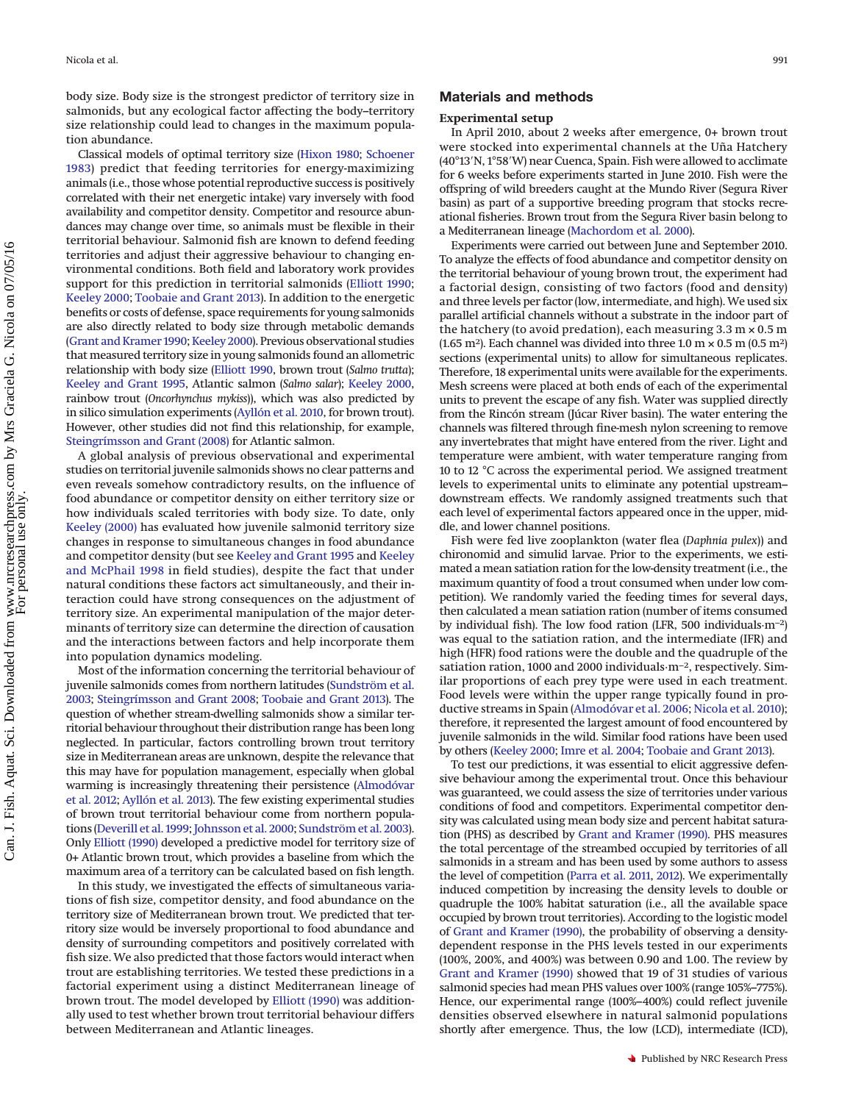body size. Body size is the strongest predictor of territory size in salmonids, but any ecological factor affecting the body–territory size relationship could lead to changes in the maximum population abundance.

Classical models of optimal territory size [\(Hixon 1980;](#page-7-6) [Schoener](#page-8-3) [1983\)](#page-8-3) predict that feeding territories for energy-maximizing animals (i.e., those whose potential reproductive success is positively correlated with their net energetic intake) vary inversely with food availability and competitor density. Competitor and resource abundances may change over time, so animals must be flexible in their territorial behaviour. Salmonid fish are known to defend feeding territories and adjust their aggressive behaviour to changing environmental conditions. Both field and laboratory work provides support for this prediction in territorial salmonids [\(Elliott 1990;](#page-7-0) [Keeley 2000;](#page-8-0) [Toobaie and Grant 2013\)](#page-8-4). In addition to the energetic benefits or costs of defense, space requirements for young salmonids are also directly related to body size through metabolic demands [\(Grant and Kramer 1990;](#page-7-3) [Keeley 2000\)](#page-8-0). Previous observational studies that measured territory size in young salmonids found an allometric relationship with body size [\(Elliott 1990,](#page-7-0) brown trout (*Salmo trutta*); [Keeley and Grant 1995,](#page-8-5) Atlantic salmon (*Salmo salar*); [Keeley 2000,](#page-8-0) rainbow trout (*Oncorhynchus mykiss*)), which was also predicted by in silico simulation experiments [\(Ayllón et al. 2010,](#page-7-7) for brown trout). However, other studies did not find this relationship, for example, [Steingrímsson and Grant \(2008\)](#page-8-6) for Atlantic salmon.

A global analysis of previous observational and experimental studies on territorial juvenile salmonids shows no clear patterns and even reveals somehow contradictory results, on the influence of food abundance or competitor density on either territory size or how individuals scaled territories with body size. To date, only [Keeley \(2000\)](#page-8-0) has evaluated how juvenile salmonid territory size changes in response to simultaneous changes in food abundance and competitor density (but see [Keeley and Grant 1995](#page-8-5) and [Keeley](#page-8-7) [and McPhail 1998](#page-8-7) in field studies), despite the fact that under natural conditions these factors act simultaneously, and their interaction could have strong consequences on the adjustment of territory size. An experimental manipulation of the major determinants of territory size can determine the direction of causation and the interactions between factors and help incorporate them into population dynamics modeling.

Most of the information concerning the territorial behaviour of juvenile salmonids comes from northern latitudes [\(Sundström et al.](#page-8-8) [2003;](#page-8-8) [Steingrímsson and Grant 2008;](#page-8-6) [Toobaie and Grant 2013\)](#page-8-4). The question of whether stream-dwelling salmonids show a similar territorial behaviour throughout their distribution range has been long neglected. In particular, factors controlling brown trout territory size in Mediterranean areas are unknown, despite the relevance that this may have for population management, especially when global warming is increasingly threatening their persistence [\(Almodóvar](#page-7-8) [et al. 2012;](#page-7-8) [Ayllón et al. 2013\)](#page-7-9). The few existing experimental studies of brown trout territorial behaviour come from northern popula-tions [\(Deverill et al. 1999;](#page-7-10) [Johnsson et al. 2000;](#page-8-9) [Sundström et al. 2003\)](#page-8-8). Only [Elliott \(1990\)](#page-7-0) developed a predictive model for territory size of 0+ Atlantic brown trout, which provides a baseline from which the maximum area of a territory can be calculated based on fish length.

In this study, we investigated the effects of simultaneous variations of fish size, competitor density, and food abundance on the territory size of Mediterranean brown trout. We predicted that territory size would be inversely proportional to food abundance and density of surrounding competitors and positively correlated with fish size. We also predicted that those factors would interact when trout are establishing territories. We tested these predictions in a factorial experiment using a distinct Mediterranean lineage of brown trout. The model developed by [Elliott \(1990\)](#page-7-0) was additionally used to test whether brown trout territorial behaviour differs between Mediterranean and Atlantic lineages.

#### **Materials and methods**

#### **Experimental setup**

In April 2010, about 2 weeks after emergence, 0+ brown trout were stocked into experimental channels at the Uña Hatchery (40°13'N, 1°58'W) near Cuenca, Spain. Fish were allowed to acclimate for 6 weeks before experiments started in June 2010. Fish were the offspring of wild breeders caught at the Mundo River (Segura River basin) as part of a supportive breeding program that stocks recreational fisheries. Brown trout from the Segura River basin belong to a Mediterranean lineage [\(Machordom et al. 2000\)](#page-8-10).

Experiments were carried out between June and September 2010. To analyze the effects of food abundance and competitor density on the territorial behaviour of young brown trout, the experiment had a factorial design, consisting of two factors (food and density) and three levels per factor (low, intermediate, and high). We used six parallel artificial channels without a substrate in the indoor part of the hatchery (to avoid predation), each measuring  $3.3 \text{ m} \times 0.5 \text{ m}$ (1.65 m<sup>2</sup>). Each channel was divided into three 1.0 m  $\times$  0.5 m (0.5 m<sup>2</sup>) sections (experimental units) to allow for simultaneous replicates. Therefore, 18 experimental units were available for the experiments. Mesh screens were placed at both ends of each of the experimental units to prevent the escape of any fish. Water was supplied directly from the Rincón stream (Júcar River basin). The water entering the channels was filtered through fine-mesh nylon screening to remove any invertebrates that might have entered from the river. Light and temperature were ambient, with water temperature ranging from 10 to 12 °C across the experimental period. We assigned treatment levels to experimental units to eliminate any potential upstream– downstream effects. We randomly assigned treatments such that each level of experimental factors appeared once in the upper, middle, and lower channel positions.

Fish were fed live zooplankton (water flea (*Daphnia pulex*)) and chironomid and simulid larvae. Prior to the experiments, we estimated a mean satiation ration for the low-density treatment (i.e., the maximum quantity of food a trout consumed when under low competition). We randomly varied the feeding times for several days, then calculated a mean satiation ration (number of items consumed by individual fish). The low food ration (LFR, 500 individuals·m−2) was equal to the satiation ration, and the intermediate (IFR) and high (HFR) food rations were the double and the quadruple of the satiation ration, 1000 and 2000 individuals·m−2, respectively. Similar proportions of each prey type were used in each treatment. Food levels were within the upper range typically found in productive streams in Spain [\(Almodóvar et al. 2006;](#page-7-11) [Nicola et al. 2010\)](#page-8-11); therefore, it represented the largest amount of food encountered by juvenile salmonids in the wild. Similar food rations have been used by others [\(Keeley 2000;](#page-8-0) [Imre et al. 2004;](#page-7-1) [Toobaie and Grant 2013\)](#page-8-4).

To test our predictions, it was essential to elicit aggressive defensive behaviour among the experimental trout. Once this behaviour was guaranteed, we could assess the size of territories under various conditions of food and competitors. Experimental competitor density was calculated using mean body size and percent habitat saturation (PHS) as described by [Grant and Kramer \(1990\).](#page-7-3) PHS measures the total percentage of the streambed occupied by territories of all salmonids in a stream and has been used by some authors to assess the level of competition [\(Parra et al. 2011,](#page-8-2) [2012\)](#page-8-12). We experimentally induced competition by increasing the density levels to double or quadruple the 100% habitat saturation (i.e., all the available space occupied by brown trout territories). According to the logistic model of [Grant and Kramer \(1990\),](#page-7-3) the probability of observing a densitydependent response in the PHS levels tested in our experiments (100%, 200%, and 400%) was between 0.90 and 1.00. The review by [Grant and Kramer \(1990\)](#page-7-3) showed that 19 of 31 studies of various salmonid species had mean PHS values over 100% (range 105%–775%). Hence, our experimental range (100%–400%) could reflect juvenile densities observed elsewhere in natural salmonid populations shortly after emergence. Thus, the low (LCD), intermediate (ICD),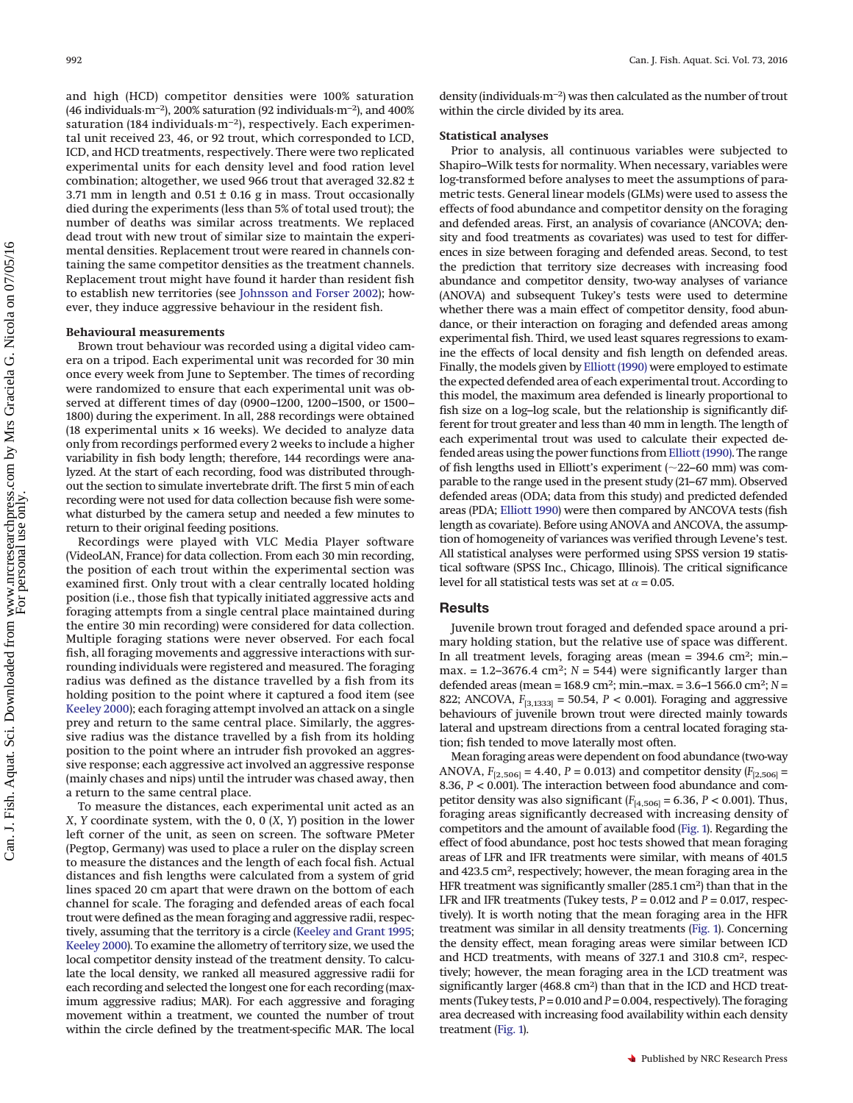and high (HCD) competitor densities were 100% saturation (46 individuals·m−2), 200% saturation (92 individuals·m−2), and 400% saturation (184 individuals·m−2), respectively. Each experimental unit received 23, 46, or 92 trout, which corresponded to LCD, ICD, and HCD treatments, respectively. There were two replicated experimental units for each density level and food ration level combination; altogether, we used 966 trout that averaged 32.82 ± 3.71 mm in length and  $0.51 \pm 0.16$  g in mass. Trout occasionally died during the experiments (less than 5% of total used trout); the number of deaths was similar across treatments. We replaced dead trout with new trout of similar size to maintain the experimental densities. Replacement trout were reared in channels containing the same competitor densities as the treatment channels. Replacement trout might have found it harder than resident fish to establish new territories (see [Johnsson and Forser 2002\)](#page-7-12); however, they induce aggressive behaviour in the resident fish.

#### **Behavioural measurements**

Brown trout behaviour was recorded using a digital video camera on a tripod. Each experimental unit was recorded for 30 min once every week from June to September. The times of recording were randomized to ensure that each experimental unit was observed at different times of day (0900–1200, 1200–1500, or 1500– 1800) during the experiment. In all, 288 recordings were obtained (18 experimental units  $\times$  16 weeks). We decided to analyze data only from recordings performed every 2 weeks to include a higher variability in fish body length; therefore, 144 recordings were analyzed. At the start of each recording, food was distributed throughout the section to simulate invertebrate drift. The first 5 min of each recording were not used for data collection because fish were somewhat disturbed by the camera setup and needed a few minutes to return to their original feeding positions.

Recordings were played with VLC Media Player software (VideoLAN, France) for data collection. From each 30 min recording, the position of each trout within the experimental section was examined first. Only trout with a clear centrally located holding position (i.e., those fish that typically initiated aggressive acts and foraging attempts from a single central place maintained during the entire 30 min recording) were considered for data collection. Multiple foraging stations were never observed. For each focal fish, all foraging movements and aggressive interactions with surrounding individuals were registered and measured. The foraging radius was defined as the distance travelled by a fish from its holding position to the point where it captured a food item (see [Keeley 2000\)](#page-8-0); each foraging attempt involved an attack on a single prey and return to the same central place. Similarly, the aggressive radius was the distance travelled by a fish from its holding position to the point where an intruder fish provoked an aggressive response; each aggressive act involved an aggressive response (mainly chases and nips) until the intruder was chased away, then a return to the same central place.

To measure the distances, each experimental unit acted as an *X*, *Y* coordinate system, with the 0, 0 (*X*, *Y*) position in the lower left corner of the unit, as seen on screen. The software PMeter (Pegtop, Germany) was used to place a ruler on the display screen to measure the distances and the length of each focal fish. Actual distances and fish lengths were calculated from a system of grid lines spaced 20 cm apart that were drawn on the bottom of each channel for scale. The foraging and defended areas of each focal trout were defined as the mean foraging and aggressive radii, respectively, assuming that the territory is a circle [\(Keeley and Grant 1995;](#page-8-5) [Keeley 2000\)](#page-8-0). To examine the allometry of territory size, we used the local competitor density instead of the treatment density. To calculate the local density, we ranked all measured aggressive radii for each recording and selected the longest one for each recording (maximum aggressive radius; MAR). For each aggressive and foraging movement within a treatment, we counted the number of trout within the circle defined by the treatment-specific MAR. The local density (individuals·m−2) was then calculated as the number of trout within the circle divided by its area.

#### **Statistical analyses**

Prior to analysis, all continuous variables were subjected to Shapiro–Wilk tests for normality. When necessary, variables were log-transformed before analyses to meet the assumptions of parametric tests. General linear models (GLMs) were used to assess the effects of food abundance and competitor density on the foraging and defended areas. First, an analysis of covariance (ANCOVA; density and food treatments as covariates) was used to test for differences in size between foraging and defended areas. Second, to test the prediction that territory size decreases with increasing food abundance and competitor density, two-way analyses of variance (ANOVA) and subsequent Tukey's tests were used to determine whether there was a main effect of competitor density, food abundance, or their interaction on foraging and defended areas among experimental fish. Third, we used least squares regressions to examine the effects of local density and fish length on defended areas. Finally, the models given by [Elliott \(1990\)](#page-7-0) were employed to estimate the expected defended area of each experimental trout. According to this model, the maximum area defended is linearly proportional to fish size on a log–log scale, but the relationship is significantly different for trout greater and less than 40 mm in length. The length of each experimental trout was used to calculate their expected defended areas using the power functions from [Elliott \(1990\).](#page-7-0) The range of fish lengths used in Elliott's experiment ( $\sim$ 22–60 mm) was comparable to the range used in the present study (21–67 mm). Observed defended areas (ODA; data from this study) and predicted defended areas (PDA; [Elliott 1990\)](#page-7-0) were then compared by ANCOVA tests (fish length as covariate). Before using ANOVA and ANCOVA, the assumption of homogeneity of variances was verified through Levene's test. All statistical analyses were performed using SPSS version 19 statistical software (SPSS Inc., Chicago, Illinois). The critical significance level for all statistical tests was set at  $\alpha$  = 0.05.

#### **Results**

Juvenile brown trout foraged and defended space around a primary holding station, but the relative use of space was different. In all treatment levels, foraging areas (mean =  $394.6 \text{ cm}^2$ ; min.– max.  $= 1.2 - 3676.4$  cm<sup>2</sup>;  $N = 544$ ) were significantly larger than defended areas (mean = 168.9 cm2; min.–max. = 3.6–1 566.0 cm2; *N* = 822; ANCOVA,  $F_{[3,1333]} = 50.54$ ,  $P < 0.001$ ). Foraging and aggressive behaviours of juvenile brown trout were directed mainly towards lateral and upstream directions from a central located foraging station; fish tended to move laterally most often.

Mean foraging areas were dependent on food abundance (two-way ANOVA,  $F_{[2,506]} = 4.40$ ,  $P = 0.013$ ) and competitor density ( $F_{[2,506]} =$ 8.36, *P* < 0.001). The interaction between food abundance and competitor density was also significant  $(F_{[4,506]} = 6.36, P < 0.001)$ . Thus, foraging areas significantly decreased with increasing density of competitors and the amount of available food [\(Fig. 1\)](#page-3-0). Regarding the effect of food abundance, post hoc tests showed that mean foraging areas of LFR and IFR treatments were similar, with means of 401.5 and 423.5 cm2, respectively; however, the mean foraging area in the HFR treatment was significantly smaller (285.1 cm<sup>2</sup>) than that in the LFR and IFR treatments (Tukey tests, *P* = 0.012 and *P* = 0.017, respectively). It is worth noting that the mean foraging area in the HFR treatment was similar in all density treatments [\(Fig. 1\)](#page-3-0). Concerning the density effect, mean foraging areas were similar between ICD and HCD treatments, with means of 327.1 and 310.8 cm<sup>2</sup>, respectively; however, the mean foraging area in the LCD treatment was significantly larger (468.8 cm<sup>2</sup>) than that in the ICD and HCD treatments (Tukey tests, *P* = 0.010 and *P* = 0.004, respectively). The foraging area decreased with increasing food availability within each density treatment [\(Fig. 1\)](#page-3-0).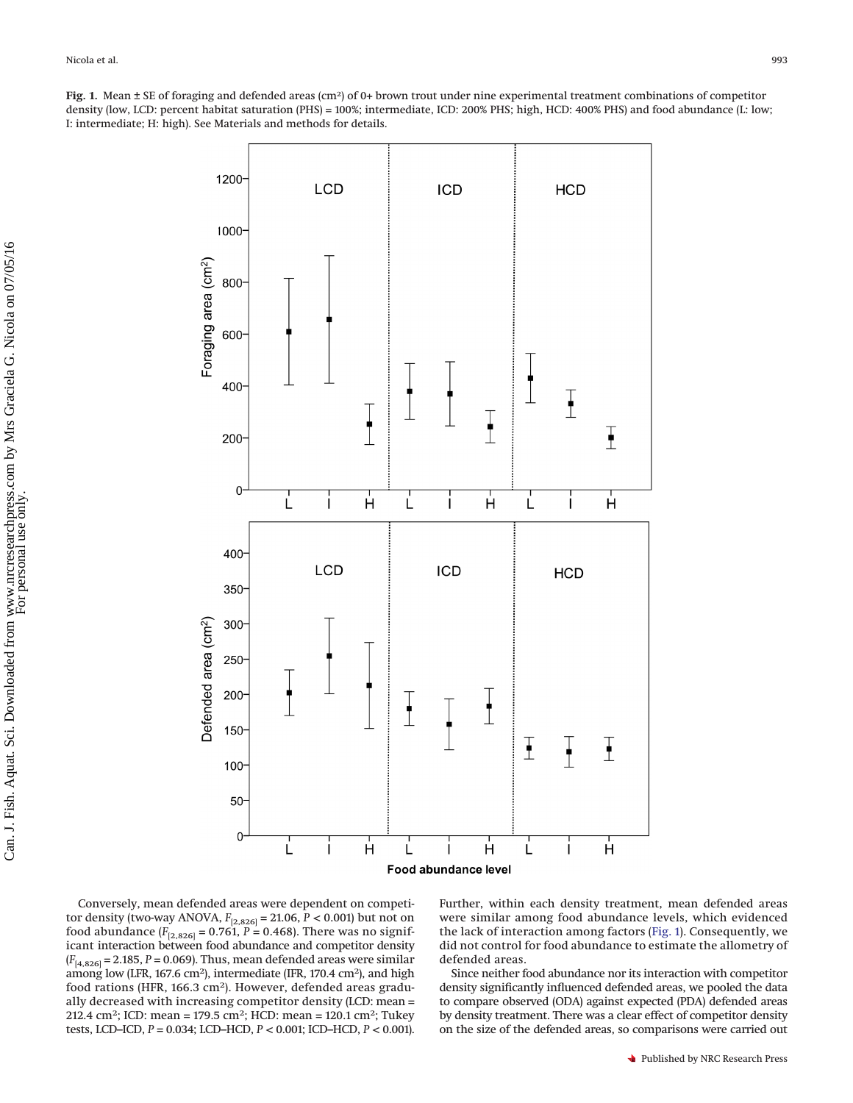<span id="page-3-0"></span>

Conversely, mean defended areas were dependent on competitor density (two-way ANOVA, *F*[2,826] = 21.06, *P* < 0.001) but not on food abundance  $(F_{[2,826]} = 0.761, P = 0.468)$ . There was no significant interaction between food abundance and competitor density  $(F_{[4,826]} = 2.185, P = 0.069)$ . Thus, mean defended areas were similar among low (LFR, 167.6 cm<sup>2</sup>), intermediate (IFR, 170.4 cm<sup>2</sup>), and high food rations (HFR, 166.3 cm<sup>2</sup>). However, defended areas gradually decreased with increasing competitor density (LCD: mean = 212.4 cm<sup>2</sup>; ICD: mean = 179.5 cm<sup>2</sup>; HCD: mean = 120.1 cm<sup>2</sup>; Tukey tests, LCD–ICD, *P* = 0.034; LCD–HCD, *P* < 0.001; ICD–HCD, *P* < 0.001). Further, within each density treatment, mean defended areas were similar among food abundance levels, which evidenced the lack of interaction among factors [\(Fig. 1\)](#page-3-0). Consequently, we did not control for food abundance to estimate the allometry of defended areas.

Since neither food abundance nor its interaction with competitor density significantly influenced defended areas, we pooled the data to compare observed (ODA) against expected (PDA) defended areas by density treatment. There was a clear effect of competitor density on the size of the defended areas, so comparisons were carried out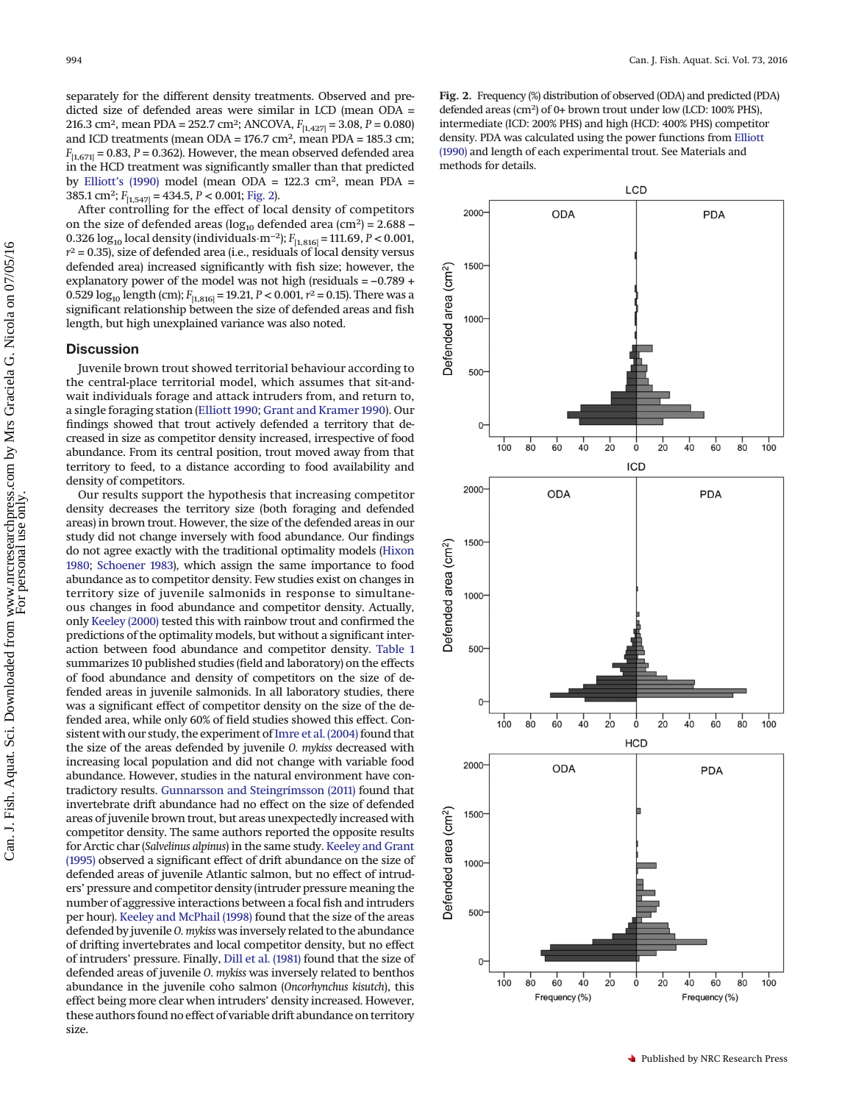separately for the different density treatments. Observed and predicted size of defended areas were similar in LCD (mean ODA = 216.3 cm2, mean PDA = 252.7 cm2; ANCOVA, *F*[1,427] = 3.08, *P* = 0.080) and ICD treatments (mean  $ODA = 176.7$  cm<sup>2</sup>, mean PDA = 185.3 cm;  $F_{[1,671]} = 0.83$ ,  $P = 0.362$ ). However, the mean observed defended area in the HCD treatment was significantly smaller than that predicted by [Elliott's \(1990\)](#page-7-0) model (mean ODA = 122.3 cm2, mean PDA = 385.1 cm2; *F*[1,547] = 434.5, *P* < 0.001; [Fig. 2\)](#page-4-0).

After controlling for the effect of local density of competitors on the size of defended areas ( $log_{10}$  defended area (cm<sup>2</sup>) = 2.688 – 0.326 log<sub>10</sub> local density (individuals·m<sup>-2</sup>); *F*<sub>[1,816]</sub> = 111.69, *P* < 0.001,  $r^2$  = 0.35), size of defended area (i.e., residuals of local density versus defended area) increased significantly with fish size; however, the explanatory power of the model was not high (residuals = –0.789 + 0.529  $log_{10}$  length (cm);  $F_{[1,816]} = 19.21$ ,  $P < 0.001$ ,  $r^2 = 0.15$ ). There was a significant relationship between the size of defended areas and fish length, but high unexplained variance was also noted.

#### **Discussion**

Juvenile brown trout showed territorial behaviour according to the central-place territorial model, which assumes that sit-andwait individuals forage and attack intruders from, and return to, a single foraging station [\(Elliott 1990;](#page-7-0) [Grant and Kramer 1990\)](#page-7-3). Our findings showed that trout actively defended a territory that decreased in size as competitor density increased, irrespective of food abundance. From its central position, trout moved away from that territory to feed, to a distance according to food availability and density of competitors.

Our results support the hypothesis that increasing competitor density decreases the territory size (both foraging and defended areas) in brown trout. However, the size of the defended areas in our study did not change inversely with food abundance. Our findings do not agree exactly with the traditional optimality models [\(Hixon](#page-7-6) [1980;](#page-7-6) [Schoener 1983\)](#page-8-3), which assign the same importance to food abundance as to competitor density. Few studies exist on changes in territory size of juvenile salmonids in response to simultaneous changes in food abundance and competitor density. Actually, only [Keeley \(2000\)](#page-8-0) tested this with rainbow trout and confirmed the predictions of the optimality models, but without a significant interaction between food abundance and competitor density. [Table 1](#page-5-0) summarizes 10 published studies (field and laboratory) on the effects of food abundance and density of competitors on the size of defended areas in juvenile salmonids. In all laboratory studies, there was a significant effect of competitor density on the size of the defended area, while only 60% of field studies showed this effect. Con-sistent with our study, the experiment of [Imre et al. \(2004\)](#page-7-1) found that the size of the areas defended by juvenile *O. mykiss* decreased with increasing local population and did not change with variable food abundance. However, studies in the natural environment have contradictory results. [Gunnarsson and Steingrímsson \(2011\)](#page-7-13) found that invertebrate drift abundance had no effect on the size of defended areas of juvenile brown trout, but areas unexpectedly increased with competitor density. The same authors reported the opposite results for Arctic char (*Salvelinus alpinus*) in the same study. [Keeley and Grant](#page-8-5) [\(1995\)](#page-8-5) observed a significant effect of drift abundance on the size of defended areas of juvenile Atlantic salmon, but no effect of intruders' pressure and competitor density (intruder pressure meaning the number of aggressive interactions between a focal fish and intruders per hour). [Keeley and McPhail \(1998\)](#page-8-7) found that the size of the areas defended by juvenile*O. mykiss*was inversely related to the abundance of drifting invertebrates and local competitor density, but no effect of intruders' pressure. Finally, [Dill et al. \(1981\)](#page-7-14) found that the size of defended areas of juvenile *O. mykiss* was inversely related to benthos abundance in the juvenile coho salmon (*Oncorhynchus kisutch*), this effect being more clear when intruders' density increased. However, these authors found no effect of variable drift abundance on territory size.

<span id="page-4-0"></span>**Fig. 2.** Frequency (%) distribution of observed (ODA) and predicted (PDA) defended areas (cm2) of 0+ brown trout under low (LCD: 100% PHS), intermediate (ICD: 200% PHS) and high (HCD: 400% PHS) competitor density. PDA was calculated using the power functions from [Elliott](#page-7-0) [\(1990\)](#page-7-0) and length of each experimental trout. See Materials and methods for details.

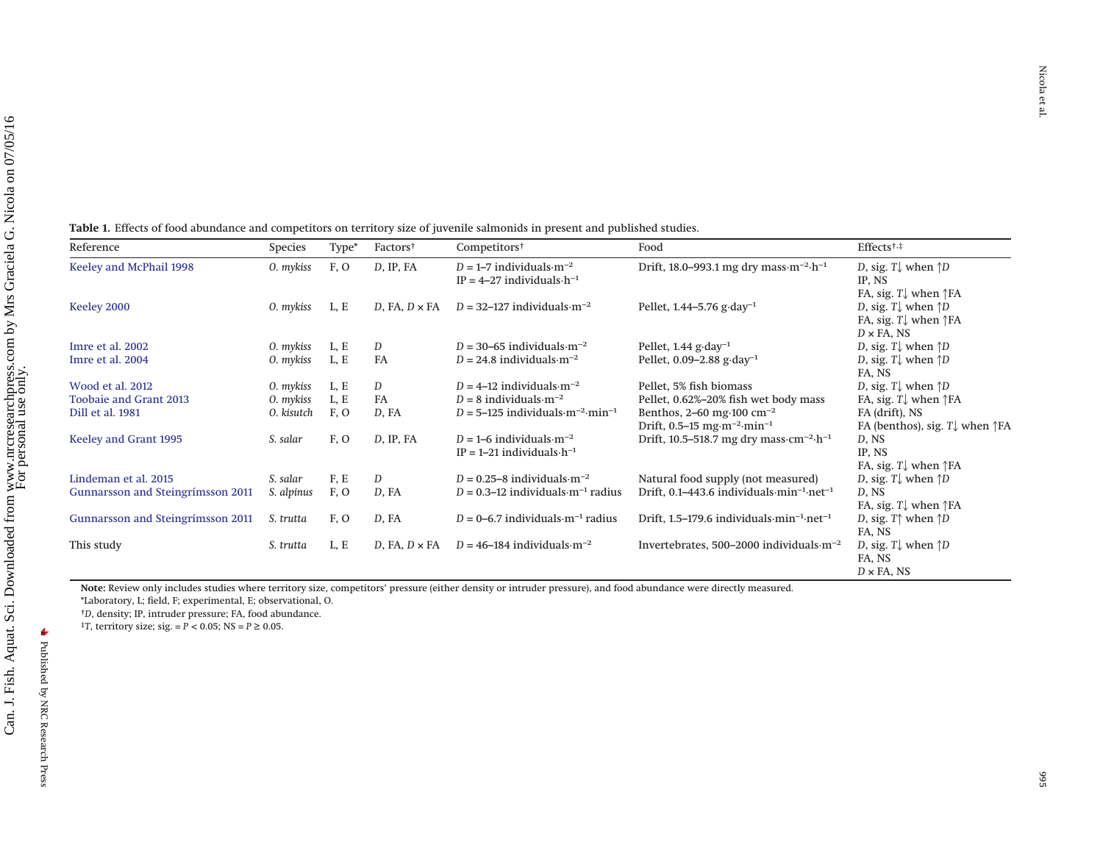**Table 1.** Effects of food abundance and competitors on territory size of juvenile salmonids in present and published studies.

| Reference                            | Species                | Type*        | Factors <sup>†</sup>    | Competitors <sup>†</sup>                                                                | Food                                                                                                                           | Effects <sup>†,‡</sup>                                                                                                                                  |  |
|--------------------------------------|------------------------|--------------|-------------------------|-----------------------------------------------------------------------------------------|--------------------------------------------------------------------------------------------------------------------------------|---------------------------------------------------------------------------------------------------------------------------------------------------------|--|
| Keeley and McPhail 1998              | 0. mykiss              | F, O         | D, IP, FA               | $D = 1-7$ individuals $\cdot$ m <sup>-2</sup><br>IP = $4-27$ individuals $\cdot h^{-1}$ | Drift, 18.0–993.1 mg dry mass $\cdot$ m <sup>-2</sup> $\cdot$ h <sup>-1</sup>                                                  | D, sig. $T\downarrow$ when $\uparrow$ D<br>IP, NS                                                                                                       |  |
| Keeley 2000                          | 0. mykiss              | L, E         | $D$ , FA, $D \times FA$ | $D = 32 - 127$ individuals $m^{-2}$                                                     | Pellet, 1.44–5.76 g $\cdot$ day <sup>-1</sup>                                                                                  | FA, sig. $T\downarrow$ when $\uparrow$ FA<br>D, sig. $T\downarrow$ when $\uparrow$ D<br>FA, sig. $T\downarrow$ when $\uparrow$ FA<br>$D \times FA$ , NS |  |
| Imre et al. 2002<br>Imre et al. 2004 | 0. mykiss<br>0. mykiss | L, E<br>L, E | D<br>FA                 | $D = 30-65$ individuals $m^{-2}$<br>$D = 24.8$ individuals $\cdot$ m <sup>-2</sup>      | Pellet, $1.44$ g $\cdot$ day <sup>-1</sup><br>Pellet, 0.09-2.88 $g$ -day <sup>-1</sup>                                         | D, sig. $T\downarrow$ when $\uparrow$ D<br>D, sig. $T\downarrow$ when $\uparrow$ D<br>FA, NS                                                            |  |
| Wood et al. 2012                     | 0. mykiss              | L, E         | D                       | $D = 4-12$ individuals $m^{-2}$                                                         | Pellet, 5% fish biomass                                                                                                        | D, sig. $T\downarrow$ when $\uparrow$ D                                                                                                                 |  |
| <b>Toobaie and Grant 2013</b>        | 0. mykiss              | L, E         | <b>FA</b>               | $D = 8$ individuals m <sup>-2</sup>                                                     | Pellet, 0.62%-20% fish wet body mass                                                                                           | FA, sig. $T\downarrow$ when $\uparrow$ FA                                                                                                               |  |
| Dill et al. 1981                     | 0. kisutch             | F, O         | D, FA                   | $D = 5 - 125$ individuals $m^{-2}$ min <sup>-1</sup>                                    | Benthos, $2-60$ mg $\cdot 100$ cm <sup>-2</sup>                                                                                | FA (drift), NS                                                                                                                                          |  |
| Keeley and Grant 1995                | S. salar               | F, O         | D, IP, FA               | $D = 1$ –6 individuals·m <sup>-2</sup><br>IP = $1-21$ individuals $\cdot h^{-1}$        | Drift, 0.5–15 mg·m <sup>-2</sup> ·min <sup>-1</sup><br>Drift, 10.5–518.7 mg dry mass $\cdot$ cm <sup>-2</sup> ·h <sup>-1</sup> | FA (benthos), sig. $T\downarrow$ when $\uparrow$ FA<br>D, NS<br>IP, NS                                                                                  |  |
|                                      |                        |              |                         |                                                                                         |                                                                                                                                | FA, sig. $T\downarrow$ when $\uparrow$ FA                                                                                                               |  |
| Lindeman et al. 2015                 | S. salar               | F, E         | D                       | $D = 0.25-8$ individuals $m^{-2}$                                                       | Natural food supply (not measured)                                                                                             | D, sig. $T\downarrow$ when $\uparrow$ D                                                                                                                 |  |
| Gunnarsson and Steingrímsson 2011    | S. alpinus             | F, O         | D, FA                   | $D = 0.3 - 12$ individuals $m-1$ radius                                                 | Drift, 0.1-443.6 individuals min <sup>-1</sup> net <sup>-1</sup>                                                               | D, NS                                                                                                                                                   |  |
|                                      |                        |              |                         |                                                                                         |                                                                                                                                | FA, sig. $T\downarrow$ when $\uparrow$ FA                                                                                                               |  |
| Gunnarsson and Steingrímsson 2011    | S. trutta              | F, O         | D, FA                   | $D = 0-6.7$ individuals $m^{-1}$ radius                                                 | Drift, 1.5-179.6 individuals min <sup>-1</sup> net <sup>-1</sup>                                                               | D, sig. T $\uparrow$ when $\uparrow$ D<br>FA, NS                                                                                                        |  |
| This study                           | S. trutta              | L, E         | $D$ , FA, $D \times FA$ | $D = 46 - 184$ individuals $m^{-2}$                                                     | Invertebrates, 500-2000 individuals m <sup>-2</sup>                                                                            | D, sig. $T\downarrow$ when $\uparrow$ D<br>FA, NS<br>$D \times FA$ , NS                                                                                 |  |

**Note:** Review only includes studies where territory size, competitors' pressure (either density or intruder pressure), and food abundance were directly measured. \*Laboratory, L; field, F; experimental, E; observational, O.

†*D*, density; IP, intruder pressure; FA, food abundance.

‡*T*, territory size; sig. <sup>=</sup> *P* <sup>&</sup>lt; 0.05; NS <sup>=</sup> *P* <sup>≥</sup> 0.05.

<span id="page-5-0"></span>Published by NRC Research Press

Published by NRC Research Press

 $\blacktriangleleft$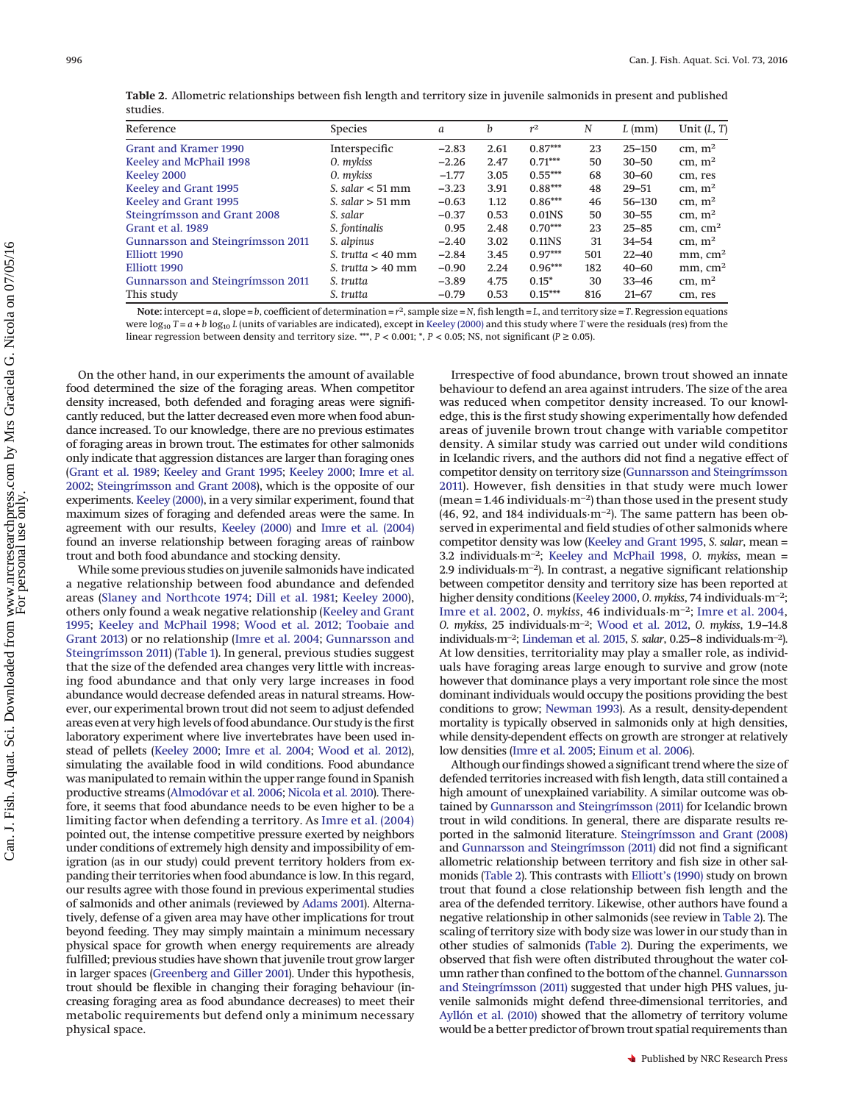<span id="page-6-0"></span>

| Table 2. Allometric relationships between fish length and territory size in juvenile salmonids in present and published |  |
|-------------------------------------------------------------------------------------------------------------------------|--|
| studies.                                                                                                                |  |

| Reference                         | <b>Species</b>      | a       | h    | $r^2$              | N   | $L$ (mm)   | Unit $(L, T)$           |
|-----------------------------------|---------------------|---------|------|--------------------|-----|------------|-------------------------|
| <b>Grant and Kramer 1990</b>      | Interspecific       | $-2.83$ | 2.61 | $0.87***$          | 23  | $25 - 150$ | $\rm cm.~m^2$           |
| Keeley and McPhail 1998           | 0. mykiss           | $-2.26$ | 2.47 | $0.71***$          | 50  | $30 - 50$  | $\text{cm}, \text{m}^2$ |
| Keeley 2000                       | 0. mykiss           | $-1.77$ | 3.05 | $0.55***$          | 68  | $30 - 60$  | cm. res                 |
| Keeley and Grant 1995             | S. salar $<$ 51 mm  | $-3.23$ | 3.91 | $0.88***$          | 48  | $29 - 51$  | $\rm cm.~m^2$           |
| Keeley and Grant 1995             | S. salar $>$ 51 mm  | $-0.63$ | 1.12 | $0.86***$          | 46  | 56-130     | $\text{cm}, \text{m}^2$ |
| Steingrímsson and Grant 2008      | S. salar            | $-0.37$ | 0.53 | 0.01 <sub>NS</sub> | 50  | $30 - 55$  | $\rm cm.~m^2$           |
| Grant et al. 1989                 | S. fontinalis       | 0.95    | 2.48 | $0.70***$          | 23  | $25 - 85$  | $\rm cm. \, cm2$        |
| Gunnarsson and Steingrímsson 2011 | S. alpinus          | $-2.40$ | 3.02 | 0.11NS             | 31  | $34 - 54$  | $\rm cm.~m^2$           |
| Elliott 1990                      | S. trutta $< 40$ mm | $-2.84$ | 3.45 | $0.97***$          | 501 | $22 - 40$  | mm. cm <sup>2</sup>     |
| Elliott 1990                      | S. trutta $> 40$ mm | $-0.90$ | 2.24 | $0.96***$          | 182 | $40 - 60$  | mm, cm <sup>2</sup>     |
| Gunnarsson and Steingrímsson 2011 | S. trutta           | $-3.89$ | 4.75 | $0.15*$            | 30  | $33 - 46$  | $\rm cm.~m^2$           |
| This study                        | S. trutta           | $-0.79$ | 0.53 | $0.15***$          | 816 | $21 - 67$  | cm. res                 |

Note: intercept = *a*, slope = *b*, coefficient of determination =  $r^2$ , sample size = *N*, fish length = *L*, and territory size = *T*. Regression equations were  $\log_{10} T = a + b \log_{10} L$  (units of variables are indicated), except in [Keeley \(2000\)](#page-8-0) and this study where *T* were the residuals (res) from the linear regression between density and territory size. \*\*\*, *P* < 0.001; \*, *P* < 0.05; NS, not significant (*P* ≥ 0.05).

On the other hand, in our experiments the amount of available food determined the size of the foraging areas. When competitor density increased, both defended and foraging areas were significantly reduced, but the latter decreased even more when food abundance increased. To our knowledge, there are no previous estimates of foraging areas in brown trout. The estimates for other salmonids only indicate that aggression distances are larger than foraging ones [\(Grant et al. 1989;](#page-7-19) [Keeley and Grant 1995;](#page-8-5) [Keeley 2000;](#page-8-0) [Imre et al.](#page-7-20) [2002;](#page-7-20) [Steingrímsson and Grant 2008\)](#page-8-6), which is the opposite of our experiments. [Keeley \(2000\),](#page-8-0) in a very similar experiment, found that maximum sizes of foraging and defended areas were the same. In agreement with our results, [Keeley \(2000\)](#page-8-0) and [Imre et al. \(2004\)](#page-7-1) found an inverse relationship between foraging areas of rainbow trout and both food abundance and stocking density.

While some previous studies on juvenile salmonids have indicated a negative relationship between food abundance and defended areas [\(Slaney and Northcote 1974;](#page-8-19) [Dill et al. 1981;](#page-7-14) [Keeley 2000\)](#page-8-0), others only found a weak negative relationship [\(Keeley and Grant](#page-8-5) [1995;](#page-8-5) [Keeley and McPhail 1998;](#page-8-7) [Wood et al. 2012;](#page-8-20) [Toobaie and](#page-8-4) [Grant 2013\)](#page-8-4) or no relationship [\(Imre et al. 2004;](#page-7-1) [Gunnarsson and](#page-7-13) [Steingrímsson 2011\)](#page-7-13) [\(Table 1\)](#page-5-0). In general, previous studies suggest that the size of the defended area changes very little with increasing food abundance and that only very large increases in food abundance would decrease defended areas in natural streams. However, our experimental brown trout did not seem to adjust defended areas even at very high levels of food abundance. Our study is the first laboratory experiment where live invertebrates have been used instead of pellets [\(Keeley 2000;](#page-8-0) [Imre et al. 2004;](#page-7-1) [Wood et al. 2012\)](#page-8-20), simulating the available food in wild conditions. Food abundance was manipulated to remain within the upper range found in Spanish productive streams [\(Almodóvar et al. 2006;](#page-7-11) [Nicola et al. 2010\)](#page-8-11). Therefore, it seems that food abundance needs to be even higher to be a limiting factor when defending a territory. As [Imre et al. \(2004\)](#page-7-1) pointed out, the intense competitive pressure exerted by neighbors under conditions of extremely high density and impossibility of emigration (as in our study) could prevent territory holders from expanding their territories when food abundance is low. In this regard, our results agree with those found in previous experimental studies of salmonids and other animals (reviewed by [Adams 2001\)](#page-7-21). Alternatively, defense of a given area may have other implications for trout beyond feeding. They may simply maintain a minimum necessary physical space for growth when energy requirements are already fulfilled; previous studies have shown that juvenile trout grow larger in larger spaces [\(Greenberg and Giller 2001\)](#page-7-22). Under this hypothesis, trout should be flexible in changing their foraging behaviour (increasing foraging area as food abundance decreases) to meet their metabolic requirements but defend only a minimum necessary physical space.

Irrespective of food abundance, brown trout showed an innate behaviour to defend an area against intruders. The size of the area was reduced when competitor density increased. To our knowledge, this is the first study showing experimentally how defended areas of juvenile brown trout change with variable competitor density. A similar study was carried out under wild conditions in Icelandic rivers, and the authors did not find a negative effect of competitor density on territory size [\(Gunnarsson and Steingrímsson](#page-7-13) [2011\)](#page-7-13). However, fish densities in that study were much lower (mean = 1.46 individuals·m−2) than those used in the present study (46, 92, and 184 individuals·m−2). The same pattern has been observed in experimental and field studies of other salmonids where competitor density was low [\(Keeley and Grant 1995,](#page-8-5) *S. salar*, mean = 3.2 individuals·m−2; [Keeley and McPhail 1998,](#page-8-7) *O. mykiss*, mean = 2.9 individuals·m−2). In contrast, a negative significant relationship between competitor density and territory size has been reported at higher density conditions [\(Keeley 2000,](#page-8-0) *O. mykiss*, 74 individuals·m−2; [Imre et al. 2002,](#page-7-20) *O. mykiss*, 46 individuals·m−2; [Imre et al. 2004,](#page-7-1) *O. mykiss*, 25 individuals·m−2; [Wood et al. 2012,](#page-8-20) *O. mykiss*, 1.9–14.8 individuals·m−2; [Lindeman et al. 2015,](#page-8-21) *S. salar*, 0.25–8 individuals·m−2). At low densities, territoriality may play a smaller role, as individuals have foraging areas large enough to survive and grow (note however that dominance plays a very important role since the most dominant individuals would occupy the positions providing the best conditions to grow; [Newman 1993\)](#page-8-22). As a result, density-dependent mortality is typically observed in salmonids only at high densities, while density-dependent effects on growth are stronger at relatively low densities [\(Imre et al. 2005;](#page-7-23) [Einum et al. 2006\)](#page-7-24).

Although our findings showed a significant trend where the size of defended territories increased with fish length, data still contained a high amount of unexplained variability. A similar outcome was obtained by [Gunnarsson and Steingrímsson \(2011\)](#page-7-13) for Icelandic brown trout in wild conditions. In general, there are disparate results reported in the salmonid literature. [Steingrímsson and Grant \(2008\)](#page-8-6) and [Gunnarsson and Steingrímsson \(2011\)](#page-7-13) did not find a significant allometric relationship between territory and fish size in other salmonids [\(Table 2\)](#page-6-0). This contrasts with [Elliott's \(1990\)](#page-7-0) study on brown trout that found a close relationship between fish length and the area of the defended territory. Likewise, other authors have found a negative relationship in other salmonids (see review in [Table 2\)](#page-6-0). The scaling of territory size with body size was lower in our study than in other studies of salmonids [\(Table 2\)](#page-6-0). During the experiments, we observed that fish were often distributed throughout the water column rather than confined to the bottom of the channel. [Gunnarsson](#page-7-13) [and Steingrímsson \(2011\)](#page-7-13) suggested that under high PHS values, juvenile salmonids might defend three-dimensional territories, and [Ayllón et al. \(2010\)](#page-7-7) showed that the allometry of territory volume would be a better predictor of brown trout spatial requirements than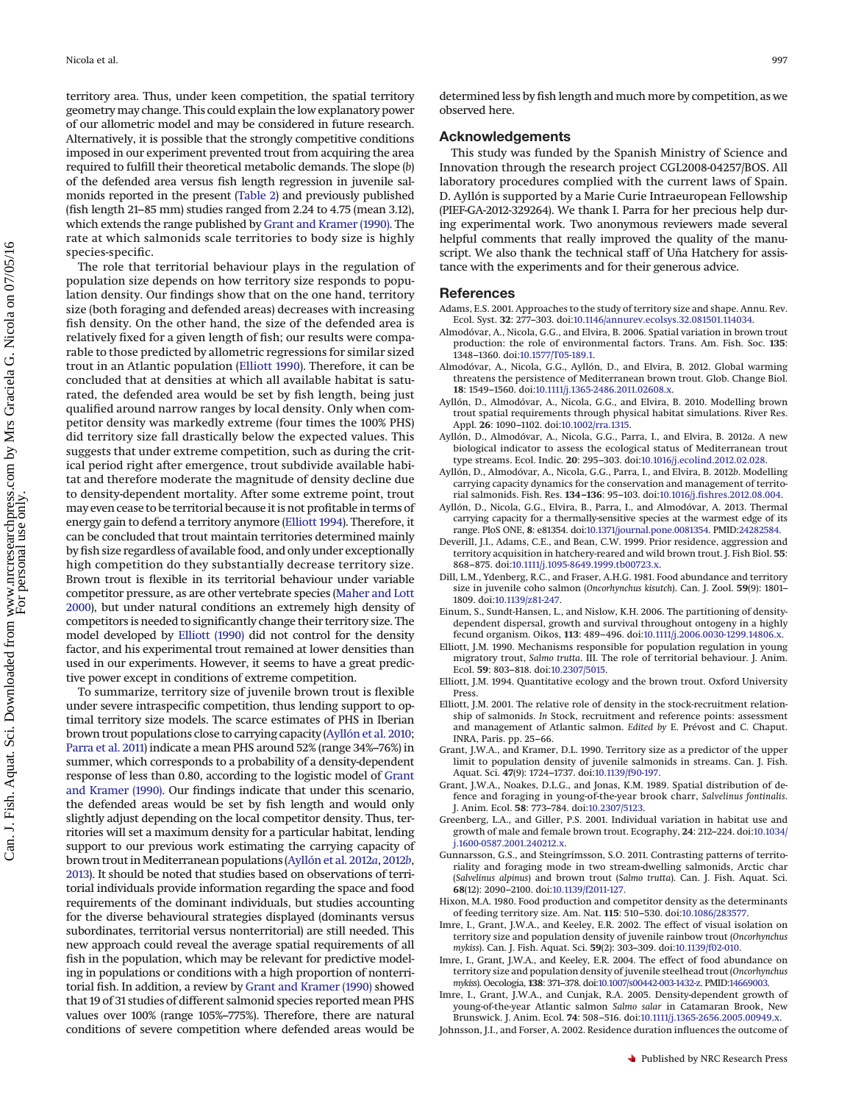territory area. Thus, under keen competition, the spatial territory geometrymay change. This could explain the low explanatory power of our allometric model and may be considered in future research. Alternatively, it is possible that the strongly competitive conditions imposed in our experiment prevented trout from acquiring the area required to fulfill their theoretical metabolic demands. The slope (*b*) of the defended area versus fish length regression in juvenile salmonids reported in the present [\(Table 2\)](#page-6-0) and previously published (fish length 21–85 mm) studies ranged from 2.24 to 4.75 (mean 3.12), which extends the range published by [Grant and Kramer \(1990\).](#page-7-3) The rate at which salmonids scale territories to body size is highly species-specific.

<span id="page-7-16"></span><span id="page-7-15"></span>The role that territorial behaviour plays in the regulation of population size depends on how territory size responds to population density. Our findings show that on the one hand, territory size (both foraging and defended areas) decreases with increasing fish density. On the other hand, the size of the defended area is relatively fixed for a given length of fish; our results were comparable to those predicted by allometric regressions for similar sized trout in an Atlantic population [\(Elliott 1990\)](#page-7-0). Therefore, it can be concluded that at densities at which all available habitat is saturated, the defended area would be set by fish length, being just qualified around narrow ranges by local density. Only when competitor density was markedly extreme (four times the 100% PHS) did territory size fall drastically below the expected values. This suggests that under extreme competition, such as during the critical period right after emergence, trout subdivide available habitat and therefore moderate the magnitude of density decline due to density-dependent mortality. After some extreme point, trout may even cease to be territorial because it is not profitable in terms of energy gain to defend a territory anymore [\(Elliott 1994\)](#page-7-25). Therefore, it can be concluded that trout maintain territories determined mainly by fish size regardless of available food, and only under exceptionally high competition do they substantially decrease territory size. Brown trout is flexible in its territorial behaviour under variable competitor pressure, as are other vertebrate species [\(Maher and Lott](#page-8-23) [2000\)](#page-8-23), but under natural conditions an extremely high density of competitors is needed to significantly change their territory size. The model developed by [Elliott \(1990\)](#page-7-0) did not control for the density factor, and his experimental trout remained at lower densities than used in our experiments. However, it seems to have a great predictive power except in conditions of extreme competition.

To summarize, territory size of juvenile brown trout is flexible under severe intraspecific competition, thus lending support to optimal territory size models. The scarce estimates of PHS in Iberian brown trout populations close to carrying capacity [\(Ayllón et al. 2010;](#page-7-7) [Parra et al. 2011\)](#page-8-2) indicate a mean PHS around 52% (range 34%–76%) in summer, which corresponds to a probability of a density-dependent response of less than 0.80, according to the logistic model of [Grant](#page-7-3) [and Kramer \(1990\).](#page-7-3) Our findings indicate that under this scenario, the defended areas would be set by fish length and would only slightly adjust depending on the local competitor density. Thus, territories will set a maximum density for a particular habitat, lending support to our previous work estimating the carrying capacity of brown trout in Mediterranean populations [\(Ayllón et al. 2012](#page-7-4)*a*, [2012](#page-7-5)*b*, [2013\)](#page-7-9). It should be noted that studies based on observations of territorial individuals provide information regarding the space and food requirements of the dominant individuals, but studies accounting for the diverse behavioural strategies displayed (dominants versus subordinates, territorial versus nonterritorial) are still needed. This new approach could reveal the average spatial requirements of all fish in the population, which may be relevant for predictive modeling in populations or conditions with a high proportion of nonterritorial fish. In addition, a review by [Grant and Kramer \(1990\)](#page-7-3) showed that 19 of 31 studies of different salmonid species reported mean PHS values over 100% (range 105%–775%). Therefore, there are natural conditions of severe competition where defended areas would be

determined less by fish length and much more by competition, as we observed here.

### **Acknowledgements**

This study was funded by the Spanish Ministry of Science and Innovation through the research project CGL2008-04257/BOS. All laboratory procedures complied with the current laws of Spain. D. Ayllón is supported by a Marie Curie Intraeuropean Fellowship (PIEF-GA-2012-329264). We thank I. Parra for her precious help during experimental work. Two anonymous reviewers made several helpful comments that really improved the quality of the manuscript. We also thank the technical staff of Uña Hatchery for assistance with the experiments and for their generous advice.

#### **References**

- <span id="page-7-21"></span>Adams, E.S. 2001. Approaches to the study of territory size and shape. Annu. Rev. Ecol. Syst. **32**: 277–303. doi[:10.1146/annurev.ecolsys.32.081501.114034.](http://dx.doi.org/10.1146/annurev.ecolsys.32.081501.114034)
- <span id="page-7-11"></span>Almodóvar, A., Nicola, G.G., and Elvira, B. 2006. Spatial variation in brown trout production: the role of environmental factors. Trans. Am. Fish. Soc. **135**: 1348–1360. doi[:10.1577/T05-189.1.](http://dx.doi.org/10.1577/T05-189.1)
- <span id="page-7-8"></span>Almodóvar, A., Nicola, G.G., Ayllón, D., and Elvira, B. 2012. Global warming threatens the persistence of Mediterranean brown trout. Glob. Change Biol. **18**: 1549–1560. doi[:10.1111/j.1365-2486.2011.02608.x.](http://dx.doi.org/10.1111/j.1365-2486.2011.02608.x)
- <span id="page-7-18"></span><span id="page-7-7"></span>Ayllón, D., Almodóvar, A., Nicola, G.G., and Elvira, B. 2010. Modelling brown trout spatial requirements through physical habitat simulations. River Res. Appl. **26**: 1090–1102. doi[:10.1002/rra.1315.](http://dx.doi.org/10.1002/rra.1315)
- <span id="page-7-17"></span><span id="page-7-4"></span>Ayllón, D., Almodóvar, A., Nicola, G.G., Parra, I., and Elvira, B. 2012*a*. A new biological indicator to assess the ecological status of Mediterranean trout type streams. Ecol. Indic. **20**: 295–303. doi[:10.1016/j.ecolind.2012.02.028.](http://dx.doi.org/10.1016/j.ecolind.2012.02.028)
- <span id="page-7-5"></span>Ayllón, D., Almodóvar, A., Nicola, G.G., Parra, I., and Elvira, B. 2012*b*. Modelling carrying capacity dynamics for the conservation and management of territorial salmonids. Fish. Res. **134 –136**: 95–103. doi[:10.1016/j.fishres.2012.08.004.](http://dx.doi.org/10.1016/j.fishres.2012.08.004)
- <span id="page-7-9"></span>Ayllón, D., Nicola, G.G., Elvira, B., Parra, I., and Almodóvar, A. 2013. Thermal carrying capacity for a thermally-sensitive species at the warmest edge of its range. PloS ONE, **8**: e81354. doi[:10.1371/journal.pone.0081354.](http://dx.doi.org/10.1371/journal.pone.0081354) PMID[:24282584.](http://www.ncbi.nlm.nih.gov/pubmed/24282584)
- <span id="page-7-10"></span>Deverill, J.I., Adams, C.E., and Bean, C.W. 1999. Prior residence, aggression and territory acquisition in hatchery-reared and wild brown trout. J. Fish Biol. **55**: 868–875. doi[:10.1111/j.1095-8649.1999.tb00723.x.](http://dx.doi.org/10.1111/j.1095-8649.1999.tb00723.x)
- <span id="page-7-14"></span>Dill, L.M., Ydenberg, R.C., and Fraser, A.H.G. 1981. Food abundance and territory size in juvenile coho salmon (*Oncorhynchus kisutch*). Can. J. Zool. **59**(9): 1801– 1809. doi[:10.1139/z81-247.](http://dx.doi.org/10.1139/z81-247)
- <span id="page-7-24"></span>Einum, S., Sundt-Hansen, L., and Nislow, K.H. 2006. The partitioning of densitydependent dispersal, growth and survival throughout ontogeny in a highly fecund organism. Oikos, **113**: 489–496. doi[:10.1111/j.2006.0030-1299.14806.x.](http://dx.doi.org/10.1111/j.2006.0030-1299.14806.x)
- <span id="page-7-0"></span>Elliott, J.M. 1990. Mechanisms responsible for population regulation in young migratory trout, *Salmo trutta*. III. The role of territorial behaviour. J. Anim. Ecol. **59**: 803–818. doi[:10.2307/5015.](http://dx.doi.org/10.2307/5015)
- <span id="page-7-25"></span>Elliott, J.M. 1994. Quantitative ecology and the brown trout. Oxford University Press.
- <span id="page-7-2"></span>Elliott, J.M. 2001. The relative role of density in the stock-recruitment relationship of salmonids. *In* Stock, recruitment and reference points: assessment and management of Atlantic salmon. *Edited by* E. Prévost and C. Chaput. INRA, Paris. pp. 25–66.
- <span id="page-7-3"></span>Grant, J.W.A., and Kramer, D.L. 1990. Territory size as a predictor of the upper limit to population density of juvenile salmonids in streams. Can. J. Fish. Aquat. Sci. **47**(9): 1724–1737. doi[:10.1139/f90-197.](http://dx.doi.org/10.1139/f90-197)
- <span id="page-7-19"></span>Grant, J.W.A., Noakes, D.L.G., and Jonas, K.M. 1989. Spatial distribution of defence and foraging in young-of-the-year brook charr, *Salvelinus fontinalis*. J. Anim. Ecol. **58**: 773–784. doi[:10.2307/5123.](http://dx.doi.org/10.2307/5123)
- <span id="page-7-22"></span>Greenberg, L.A., and Giller, P.S. 2001. Individual variation in habitat use and growth of male and female brown trout. Ecography, **24**: 212–224. doi[:10.1034/](http://dx.doi.org/10.1034/j.1600-0587.2001.240212.x) [j.1600-0587.2001.240212.x.](http://dx.doi.org/10.1034/j.1600-0587.2001.240212.x)
- <span id="page-7-13"></span>Gunnarsson, G.S., and Steingrímsson, S.O. 2011. Contrasting patterns of territoriality and foraging mode in two stream-dwelling salmonids, Arctic char (*Salvelinus alpinus*) and brown trout (*Salmo trutta*). Can. J. Fish. Aquat. Sci. **68**(12): 2090–2100. doi[:10.1139/f2011-127.](http://dx.doi.org/10.1139/f2011-127)
- <span id="page-7-20"></span><span id="page-7-6"></span>Hixon, M.A. 1980. Food production and competitor density as the determinants of feeding territory size. Am. Nat. **115**: 510–530. doi[:10.1086/283577.](http://dx.doi.org/10.1086/283577)
- Imre, I., Grant, J.W.A., and Keeley, E.R. 2002. The effect of visual isolation on territory size and population density of juvenile rainbow trout (*Oncorhynchus mykiss*). Can. J. Fish. Aquat. Sci. **59**(2): 303–309. doi[:10.1139/f02-010.](http://dx.doi.org/10.1139/f02-010)
- <span id="page-7-1"></span>Imre, I., Grant, J.W.A., and Keeley, E.R. 2004. The effect of food abundance on territory size and population density of juvenile steelhead trout (*Oncorhynchus mykiss*). Oecologia, **138**: 371–378. doi[:10.1007/s00442-003-1432-z.](http://dx.doi.org/10.1007/s00442-003-1432-z) PMID[:14669003.](http://www.ncbi.nlm.nih.gov/pubmed/14669003)
- <span id="page-7-23"></span>Imre, I., Grant, J.W.A., and Cunjak, R.A. 2005. Density-dependent growth of young-of-the-year Atlantic salmon *Salmo salar* in Catamaran Brook, New Brunswick. J. Anim. Ecol. **74**: 508–516. doi[:10.1111/j.1365-2656.2005.00949.x.](http://dx.doi.org/10.1111/j.1365-2656.2005.00949.x)
- <span id="page-7-12"></span>Johnsson, J.I., and Forser, A. 2002. Residence duration influences the outcome of